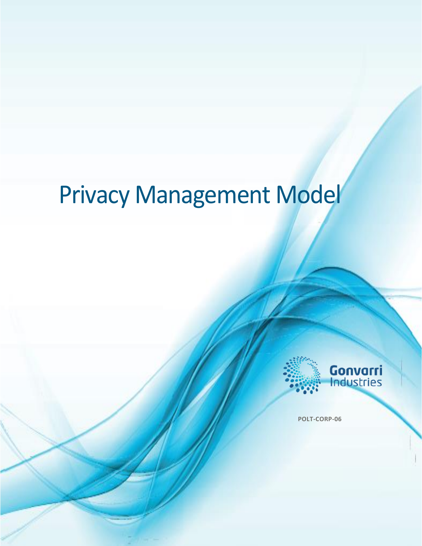# Privacy Management Model



**POLT-CORP-06**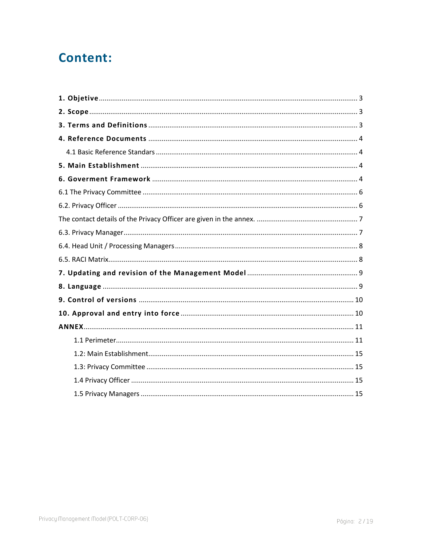### **Content:**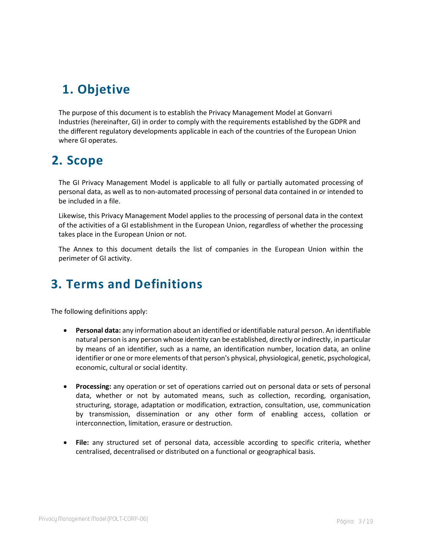# <span id="page-2-0"></span>**1. Objetive**

The purpose of this document is to establish the Privacy Management Model at Gonvarri Industries (hereinafter, GI) in order to comply with the requirements established by the GDPR and the different regulatory developments applicable in each of the countries of the European Union where GI operates.

## <span id="page-2-1"></span>**2. Scope**

The GI Privacy Management Model is applicable to all fully or partially automated processing of personal data, as well as to non-automated processing of personal data contained in or intended to be included in a file.

Likewise, this Privacy Management Model applies to the processing of personal data in the context of the activities of a GI establishment in the European Union, regardless of whether the processing takes place in the European Union or not.

The Annex to this document details the list of companies in the European Union within the perimeter of GI activity.

## <span id="page-2-2"></span>**3. Terms and Definitions**

The following definitions apply:

- **Personal data:** any information about an identified or identifiable natural person. An identifiable natural person is any person whose identity can be established, directly or indirectly, in particular by means of an identifier, such as a name, an identification number, location data, an online identifier or one or more elements of that person's physical, physiological, genetic, psychological, economic, cultural or social identity.
- **Processing:** any operation or set of operations carried out on personal data or sets of personal data, whether or not by automated means, such as collection, recording, organisation, structuring, storage, adaptation or modification, extraction, consultation, use, communication by transmission, dissemination or any other form of enabling access, collation or interconnection, limitation, erasure or destruction.
- **File:** any structured set of personal data, accessible according to specific criteria, whether centralised, decentralised or distributed on a functional or geographical basis.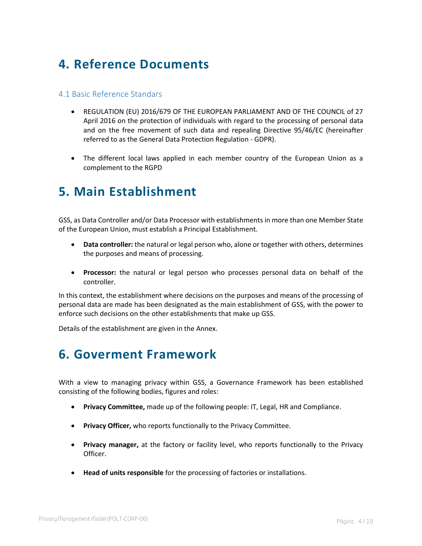# <span id="page-3-0"></span>**4. Reference Documents**

#### <span id="page-3-1"></span>4.1 Basic Reference Standars

- REGULATION (EU) 2016/679 OF THE EUROPEAN PARLIAMENT AND OF THE COUNCIL of 27 April 2016 on the protection of individuals with regard to the processing of personal data and on the free movement of such data and repealing Directive 95/46/EC (hereinafter referred to as the General Data Protection Regulation - GDPR).
- The different local laws applied in each member country of the European Union as a complement to the RGPD

### <span id="page-3-2"></span>**5. Main Establishment**

GSS, as Data Controller and/or Data Processor with establishments in more than one Member State of the European Union, must establish a Principal Establishment.

- **Data controller:** the natural or legal person who, alone or together with others, determines the purposes and means of processing.
- **Processor:** the natural or legal person who processes personal data on behalf of the controller.

In this context, the establishment where decisions on the purposes and means of the processing of personal data are made has been designated as the main establishment of GSS, with the power to enforce such decisions on the other establishments that make up GSS.

Details of the establishment are given in the Annex.

### <span id="page-3-3"></span>**6. Goverment Framework**

With a view to managing privacy within GSS, a Governance Framework has been established consisting of the following bodies, figures and roles:

- **Privacy Committee,** made up of the following people: IT, Legal, HR and Compliance.
- **Privacy Officer,** who reports functionally to the Privacy Committee.
- **Privacy manager,** at the factory or facility level, who reports functionally to the Privacy Officer.
- **Head of units responsible** for the processing of factories or installations.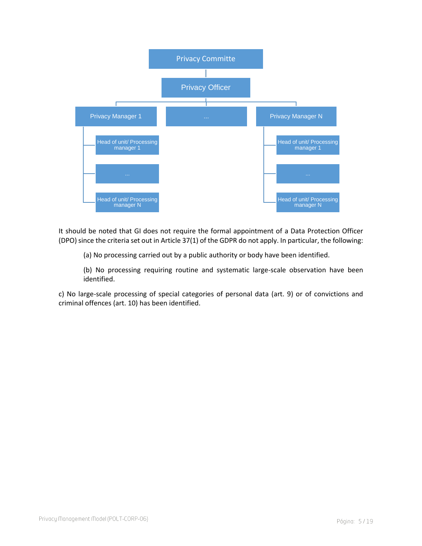

It should be noted that GI does not require the formal appointment of a Data Protection Officer (DPO) since the criteria set out in Article 37(1) of the GDPR do not apply. In particular, the following:

(a) No processing carried out by a public authority or body have been identified.

(b) No processing requiring routine and systematic large-scale observation have been identified.

c) No large-scale processing of special categories of personal data (art. 9) or of convictions and criminal offences (art. 10) has been identified.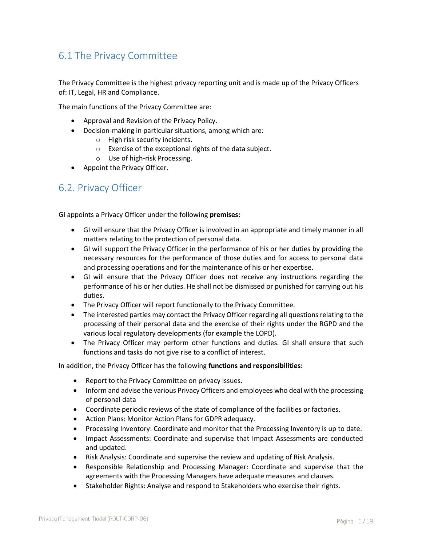### <span id="page-5-0"></span>6.1 The Privacy Committee

The Privacy Committee is the highest privacy reporting unit and is made up of the Privacy Officers of: IT, Legal, HR and Compliance.

The main functions of the Privacy Committee are:

- Approval and Revision of the Privacy Policy.
- Decision-making in particular situations, among which are:
	- o High risk security incidents.
	- o Exercise of the exceptional rights of the data subject.
	- o Use of high-risk Processing.
- Appoint the Privacy Officer.

#### <span id="page-5-1"></span>6.2. Privacy Officer

GI appoints a Privacy Officer under the following **premises:**

- GI will ensure that the Privacy Officer is involved in an appropriate and timely manner in all matters relating to the protection of personal data.
- GI will support the Privacy Officer in the performance of his or her duties by providing the necessary resources for the performance of those duties and for access to personal data and processing operations and for the maintenance of his or her expertise.
- GI will ensure that the Privacy Officer does not receive any instructions regarding the performance of his or her duties. He shall not be dismissed or punished for carrying out his duties.
- The Privacy Officer will report functionally to the Privacy Committee.
- The interested parties may contact the Privacy Officer regarding all questions relating to the processing of their personal data and the exercise of their rights under the RGPD and the various local regulatory developments (for example the LOPD).
- The Privacy Officer may perform other functions and duties. GI shall ensure that such functions and tasks do not give rise to a conflict of interest.

In addition, the Privacy Officer has the following **functions and responsibilities:**

- Report to the Privacy Committee on privacy issues.
- Inform and advise the various Privacy Officers and employees who deal with the processing of personal data
- Coordinate periodic reviews of the state of compliance of the facilities or factories.
- Action Plans: Monitor Action Plans for GDPR adequacy.
- Processing Inventory: Coordinate and monitor that the Processing Inventory is up to date.
- Impact Assessments: Coordinate and supervise that Impact Assessments are conducted and updated.
- Risk Analysis: Coordinate and supervise the review and updating of Risk Analysis.
- Responsible Relationship and Processing Manager: Coordinate and supervise that the agreements with the Processing Managers have adequate measures and clauses.
- Stakeholder Rights: Analyse and respond to Stakeholders who exercise their rights.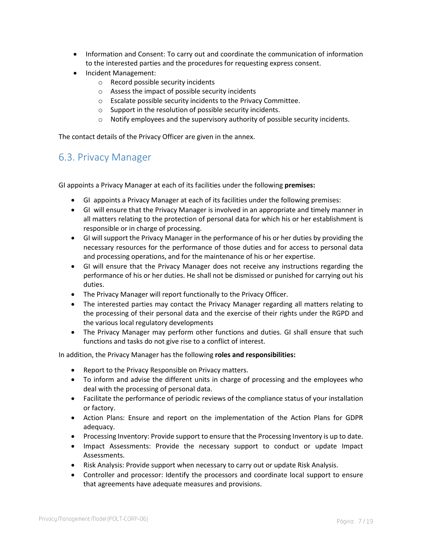- Information and Consent: To carry out and coordinate the communication of information to the interested parties and the procedures for requesting express consent.
- Incident Management:
	- o Record possible security incidents
	- o Assess the impact of possible security incidents
	- o Escalate possible security incidents to the Privacy Committee.
	- o Support in the resolution of possible security incidents.
	- $\circ$  Notify employees and the supervisory authority of possible security incidents.

<span id="page-6-1"></span><span id="page-6-0"></span>The contact details of the Privacy Officer are given in the annex.

#### 6.3. Privacy Manager

GI appoints a Privacy Manager at each of its facilities under the following **premises:**

- GI appoints a Privacy Manager at each of its facilities under the following premises:
- GI will ensure that the Privacy Manager is involved in an appropriate and timely manner in all matters relating to the protection of personal data for which his or her establishment is responsible or in charge of processing.
- GI willsupport the Privacy Manager in the performance of his or her duties by providing the necessary resources for the performance of those duties and for access to personal data and processing operations, and for the maintenance of his or her expertise.
- GI will ensure that the Privacy Manager does not receive any instructions regarding the performance of his or her duties. He shall not be dismissed or punished for carrying out his duties.
- The Privacy Manager will report functionally to the Privacy Officer.
- The interested parties may contact the Privacy Manager regarding all matters relating to the processing of their personal data and the exercise of their rights under the RGPD and the various local regulatory developments
- The Privacy Manager may perform other functions and duties. GI shall ensure that such functions and tasks do not give rise to a conflict of interest.

In addition, the Privacy Manager has the following **roles and responsibilities:**

- Report to the Privacy Responsible on Privacy matters.
- To inform and advise the different units in charge of processing and the employees who deal with the processing of personal data.
- Facilitate the performance of periodic reviews of the compliance status of your installation or factory.
- Action Plans: Ensure and report on the implementation of the Action Plans for GDPR adequacy.
- Processing Inventory: Provide support to ensure that the Processing Inventory is up to date.
- Impact Assessments: Provide the necessary support to conduct or update Impact Assessments.
- Risk Analysis: Provide support when necessary to carry out or update Risk Analysis.
- Controller and processor: Identify the processors and coordinate local support to ensure that agreements have adequate measures and provisions.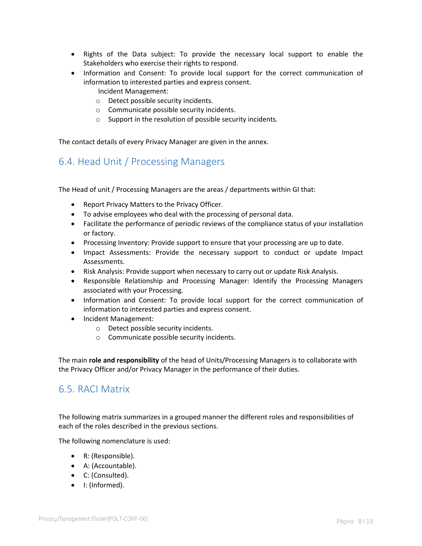- Rights of the Data subject: To provide the necessary local support to enable the Stakeholders who exercise their rights to respond.
- Information and Consent: To provide local support for the correct communication of information to interested parties and express consent. Incident Management:
	- o Detect possible security incidents.
	- o Communicate possible security incidents.
	- o Support in the resolution of possible security incidents.

The contact details of every Privacy Manager are given in the annex.

#### <span id="page-7-0"></span>6.4. Head Unit / Processing Managers

The Head of unit / Processing Managers are the areas / departments within GI that:

- Report Privacy Matters to the Privacy Officer.
- To advise employees who deal with the processing of personal data.
- Facilitate the performance of periodic reviews of the compliance status of your installation or factory.
- Processing Inventory: Provide support to ensure that your processing are up to date.
- Impact Assessments: Provide the necessary support to conduct or update Impact Assessments.
- Risk Analysis: Provide support when necessary to carry out or update Risk Analysis.
- Responsible Relationship and Processing Manager: Identify the Processing Managers associated with your Processing.
- Information and Consent: To provide local support for the correct communication of information to interested parties and express consent.
- Incident Management:
	- o Detect possible security incidents.
	- o Communicate possible security incidents.

The main **role and responsibility** of the head of Units/Processing Managers is to collaborate with the Privacy Officer and/or Privacy Manager in the performance of their duties.

#### <span id="page-7-1"></span>6.5. RACI Matrix

The following matrix summarizes in a grouped manner the different roles and responsibilities of each of the roles described in the previous sections.

The following nomenclature is used:

- R: (Responsible).
- A: (Accountable).
- C: (Consulted).
- I: (Informed).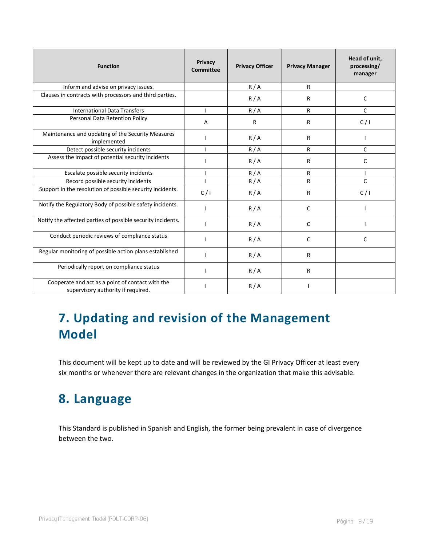| <b>Function</b>                                                                        | <b>Privacy</b><br><b>Committee</b> | <b>Privacy Officer</b> | <b>Privacy Manager</b> | Head of unit,<br>processing/<br>manager |
|----------------------------------------------------------------------------------------|------------------------------------|------------------------|------------------------|-----------------------------------------|
| Inform and advise on privacy issues.                                                   |                                    | R/A                    | R                      |                                         |
| Clauses in contracts with processors and third parties.                                |                                    | R/A                    | R                      | C                                       |
| <b>International Data Transfers</b>                                                    |                                    | R/A                    | R                      | $\mathsf{C}$                            |
| Personal Data Retention Policy                                                         | A                                  | R                      | $\mathsf{R}$           | C/1                                     |
| Maintenance and updating of the Security Measures<br>implemented                       |                                    | R/A                    | R                      |                                         |
| Detect possible security incidents                                                     |                                    | R/A                    | $\mathsf{R}$           | $\mathsf{C}$                            |
| Assess the impact of potential security incidents                                      |                                    | R/A                    | R                      | C                                       |
| Escalate possible security incidents                                                   |                                    | R/A                    | $\mathsf{R}$           |                                         |
| Record possible security incidents                                                     |                                    | R/A                    | $\mathsf{R}$           | C                                       |
| Support in the resolution of possible security incidents.                              | C/1                                | R/A                    | $\mathsf{R}$           | C/1                                     |
| Notify the Regulatory Body of possible safety incidents.                               |                                    | R/A                    | C                      |                                         |
| Notify the affected parties of possible security incidents.                            |                                    | R/A                    | C                      |                                         |
| Conduct periodic reviews of compliance status                                          |                                    | R/A                    | C                      | C                                       |
| Regular monitoring of possible action plans established                                |                                    | R/A                    | R                      |                                         |
| Periodically report on compliance status                                               |                                    | R/A                    | $\mathsf{R}$           |                                         |
| Cooperate and act as a point of contact with the<br>supervisory authority if required. |                                    | R/A                    |                        |                                         |

# <span id="page-8-0"></span>**7. Updating and revision of the Management Model**

This document will be kept up to date and will be reviewed by the GI Privacy Officer at least every six months or whenever there are relevant changes in the organization that make this advisable.

## <span id="page-8-1"></span>**8. Language**

This Standard is published in Spanish and English, the former being prevalent in case of divergence between the two.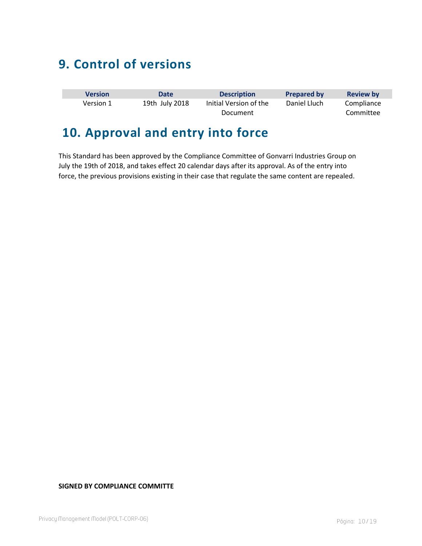# <span id="page-9-0"></span>**9. Control of versions**

| <b>Version</b> | Date           | <b>Description</b>     | <b>Prepared by</b> | <b>Review by</b> |
|----------------|----------------|------------------------|--------------------|------------------|
| Version 1      | 19th July 2018 | Initial Version of the | Daniel Lluch       | Compliance       |
|                |                | Document               |                    | Committee        |

### <span id="page-9-1"></span>**10. Approval and entry into force**

This Standard has been approved by the Compliance Committee of Gonvarri Industries Group on July the 19th of 2018, and takes effect 20 calendar days after its approval. As of the entry into force, the previous provisions existing in their case that regulate the same content are repealed.

#### **SIGNED BY COMPLIANCE COMMITTE**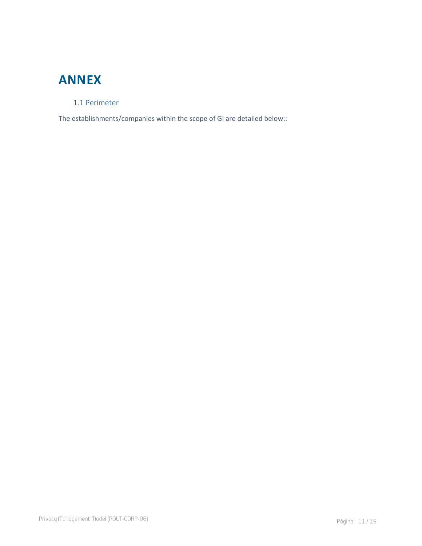# <span id="page-10-1"></span><span id="page-10-0"></span>**ANNEX**

#### 1.1 Perimeter

The establishments/companies within the scope of GI are detailed below::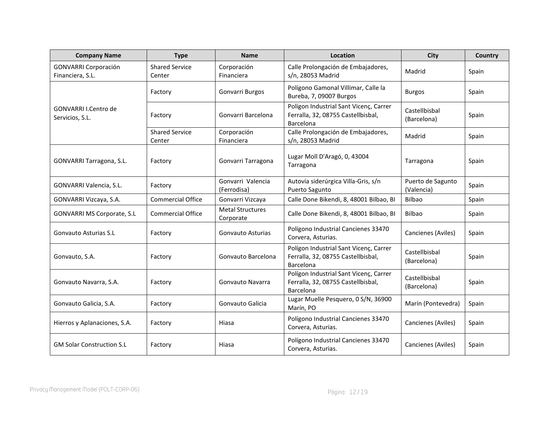| <b>Company Name</b>                             | <b>Type</b>                                                                                                                | <b>Name</b>                          | <b>Location</b>                                                                           | City                            | Country |
|-------------------------------------------------|----------------------------------------------------------------------------------------------------------------------------|--------------------------------------|-------------------------------------------------------------------------------------------|---------------------------------|---------|
| <b>GONVARRI Corporación</b><br>Financiera, S.L. | <b>Shared Service</b><br>Center                                                                                            | Corporación<br>Financiera            | Calle Prolongación de Embajadores,<br>s/n, 28053 Madrid                                   | Madrid                          | Spain   |
|                                                 | Factory                                                                                                                    | Gonvarri Burgos                      | Polígono Gamonal Villimar, Calle la<br>Bureba, 7, 09007 Burgos                            | <b>Burgos</b>                   | Spain   |
| GONVARRI I.Centro de<br>Servicios, S.L.         | Factory                                                                                                                    | Gonvarri Barcelona                   | Polígon Industrial Sant Vicenç, Carrer<br>Ferralla, 32, 08755 Castellbisbal,<br>Barcelona | Castellbisbal<br>(Barcelona)    | Spain   |
|                                                 | <b>Shared Service</b><br>Center                                                                                            | Corporación<br>Financiera            | Calle Prolongación de Embajadores,<br>s/n, 28053 Madrid                                   | Madrid                          | Spain   |
| GONVARRI Tarragona, S.L.                        | Factory                                                                                                                    | Gonvarri Tarragona                   | Lugar Moll D'Aragó, 0, 43004<br>Tarragona                                                 | Tarragona                       | Spain   |
| GONVARRI Valencia, S.L.                         | Factory                                                                                                                    | Gonvarri Valencia<br>(Ferrodisa)     | Autovía siderúrgica Villa-Gris, s/n<br>Puerto Sagunto                                     | Puerto de Sagunto<br>(Valencia) | Spain   |
| GONVARRI Vizcaya, S.A.                          | Commercial Office                                                                                                          | Gonvarri Vizcava                     | Calle Done Bikendi, 8, 48001 Bilbao, BI                                                   | <b>Bilbao</b>                   | Spain   |
| <b>GONVARRI MS Corporate, S.L</b>               | Commercial Office                                                                                                          | <b>Metal Structures</b><br>Corporate | Calle Done Bikendi, 8, 48001 Bilbao, BI                                                   | <b>Bilbao</b>                   | Spain   |
| <b>Gonvauto Asturias S.L</b>                    | Polígono Industrial Cancienes 33470<br>Factory<br>Gonvauto Asturias<br>Corvera, Asturias.                                  |                                      | Cancienes (Aviles)                                                                        | Spain                           |         |
| Gonvauto, S.A.                                  | Polígon Industrial Sant Vicenç, Carrer<br>Ferralla, 32, 08755 Castellbisbal,<br>Gonvauto Barcelona<br>Factory<br>Barcelona |                                      | Castellbisbal<br>(Barcelona)                                                              | Spain                           |         |
| Gonvauto Navarra, S.A.                          | Factory                                                                                                                    | Gonvauto Navarra                     | Polígon Industrial Sant Vicenç, Carrer<br>Ferralla, 32, 08755 Castellbisbal,<br>Barcelona | Castellbisbal<br>(Barcelona)    | Spain   |
| Gonvauto Galicia, S.A.                          | Factory                                                                                                                    | Gonvauto Galicia                     | Lugar Muelle Pesquero, 0 S/N, 36900<br>Marín, PO                                          | Marín (Pontevedra)              | Spain   |
| Hierros y Aplanaciones, S.A.                    | Factory                                                                                                                    | Hiasa                                | Polígono Industrial Cancienes 33470<br>Corvera, Asturias.                                 | Cancienes (Aviles)              | Spain   |
| <b>GM Solar Construction S.L</b>                | Factory                                                                                                                    | Hiasa                                | Polígono Industrial Cancienes 33470<br>Corvera, Asturias.                                 | Cancienes (Aviles)              | Spain   |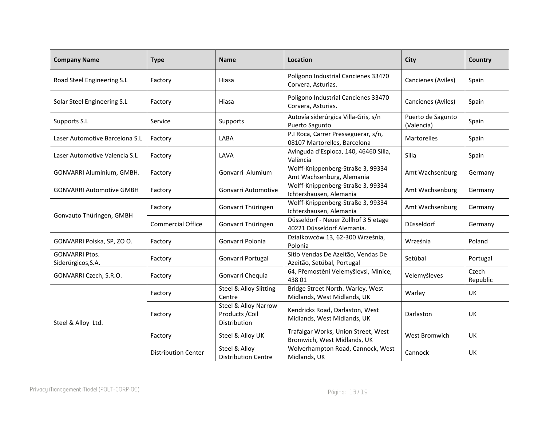| <b>Company Name</b>                         | <b>Type</b>                | <b>Name</b>                                             | Location                                                                          | <b>City</b>                     | Country           |
|---------------------------------------------|----------------------------|---------------------------------------------------------|-----------------------------------------------------------------------------------|---------------------------------|-------------------|
| Road Steel Engineering S.L                  | Factory                    | Hiasa                                                   | Polígono Industrial Cancienes 33470<br>Corvera, Asturias.                         | Cancienes (Aviles)              | Spain             |
| Solar Steel Engineering S.L                 | Factory                    | Hiasa                                                   | Polígono Industrial Cancienes 33470<br>Corvera, Asturias.                         | Cancienes (Aviles)              | Spain             |
| Supports S.L                                | Service                    | Supports                                                | Autovía siderúrgica Villa-Gris, s/n<br>Puerto Sagunto                             | Puerto de Sagunto<br>(Valencia) | Spain             |
| Laser Automotive Barcelona S.L              | Factory                    | LABA                                                    | P.I Roca, Carrer Presseguerar, s/n,<br>08107 Martorelles, Barcelona               | <b>Martorelles</b>              | Spain             |
| Laser Automotive Valencia S.L               | Factory                    | LAVA                                                    | Avinguda d'Espioca, 140, 46460 Silla,<br>València                                 | Silla                           | Spain             |
| GONVARRI Aluminium, GMBH.                   | Factory                    | Gonvarri Alumium                                        | Wolff-Knippenberg-Straße 3, 99334<br>Amt Wachsenburg<br>Amt Wachsenburg, Alemania |                                 | Germany           |
| <b>GONVARRI Automotive GMBH</b>             | Factory                    | Gonvarri Automotive                                     | Wolff-Knippenberg-Straße 3, 99334<br>Ichtershausen, Alemania                      | Amt Wachsenburg                 | Germany           |
|                                             | Factory                    | Gonvarri Thüringen                                      | Wolff-Knippenberg-Straße 3, 99334<br>Ichtershausen, Alemania                      | Amt Wachsenburg                 | Germany           |
| Gonvauto Thüringen, GMBH                    | <b>Commercial Office</b>   | Gonvarri Thüringen                                      | Düsseldorf - Neuer Zollhof 3 5 etage<br>40221 Düsseldorf Alemania.                | <b>Düsseldorf</b>               | Germany           |
| GONVARRI Polska, SP, ZO O.                  | Factory                    | Gonvarri Polonia                                        | Działkowców 13, 62-300 Września,<br>Polonia                                       | Września                        | Poland            |
| <b>GONVARRI Ptos.</b><br>Siderúrgicos, S.A. | Factory                    | Gonvarri Portugal                                       | Sitio Vendas De Azeitão, Vendas De<br>Azeitão, Setúbal, Portugal                  | Setúbal                         | Portugal          |
| GONVARRI Czech, S.R.O.                      | Factory                    | Gonvarri Chequia                                        | 64, Přemostění Velemyšlevsi, Minice,<br>438 01                                    | Velemyšleves                    | Czech<br>Republic |
|                                             | Factory                    | Steel & Alloy Slitting<br>Centre                        | Bridge Street North. Warley, West<br>Midlands, West Midlands, UK                  | Warley                          | <b>UK</b>         |
| Steel & Alloy Ltd.                          | Factory                    | Steel & Alloy Narrow<br>Products / Coil<br>Distribution | Kendricks Road, Darlaston, West<br>Midlands, West Midlands, UK                    | Darlaston                       | <b>UK</b>         |
|                                             | Factory                    | Steel & Alloy UK                                        | Trafalgar Works, Union Street, West<br>Bromwich, West Midlands, UK                | West Bromwich                   | UK                |
|                                             | <b>Distribution Center</b> | Steel & Alloy<br><b>Distribution Centre</b>             | Wolverhampton Road, Cannock, West<br>Midlands, UK                                 | Cannock                         | UK                |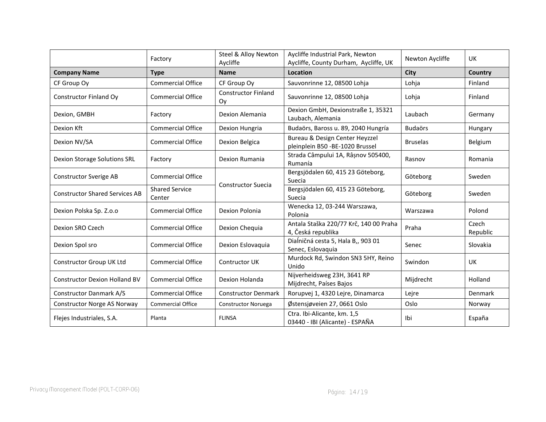|                                       | Factory                         | Steel & Alloy Newton<br>Aycliffe | Aycliffe Industrial Park, Newton<br>Aycliffe, County Durham, Aycliffe, UK | Newton Aycliffe | UK                |
|---------------------------------------|---------------------------------|----------------------------------|---------------------------------------------------------------------------|-----------------|-------------------|
| <b>Company Name</b>                   | <b>Type</b>                     | <b>Name</b>                      | Location                                                                  | <b>City</b>     | Country           |
| CF Group Oy                           | <b>Commercial Office</b>        | CF Group Oy                      | Sauvonrinne 12, 08500 Lohja                                               | Lohja           | Finland           |
| Constructor Finland Oy                | <b>Commercial Office</b>        | <b>Constructor Finland</b><br>Oy | Sauvonrinne 12, 08500 Lohja                                               | Lohja           | Finland           |
| Dexion, GMBH                          | Factory                         | Dexion Alemania                  | Dexion GmbH, Dexionstraße 1, 35321<br>Laubach, Alemania                   | Laubach         | Germany           |
| Dexion Kft                            | Commercial Office               | Dexion Hungria                   | Budaörs, Baross u. 89, 2040 Hungría                                       | <b>Budaörs</b>  | Hungary           |
| Dexion NV/SA                          | <b>Commercial Office</b>        | Dexion Belgica                   | Bureau & Design Center Heyzzel<br>pleinplein B50 -BE-1020 Brussel         | <b>Bruselas</b> | Belgium           |
| <b>Dexion Storage Solutions SRL</b>   | Factory                         | Dexion Rumania                   | Strada Câmpului 1A, Râșnov 505400,<br>Rumanía                             | Rasnov          | Romania           |
| <b>Constructor Sverige AB</b>         | <b>Commercial Office</b>        |                                  | Bergsjödalen 60, 415 23 Göteborg,<br>Suecia                               | Göteborg        | Sweden            |
| <b>Constructor Shared Services AB</b> | <b>Shared Service</b><br>Center | <b>Constructor Suecia</b>        | Bergsjödalen 60, 415 23 Göteborg,<br>Suecia                               | Göteborg        | Sweden            |
| Dexion Polska Sp. Z.o.o               | <b>Commercial Office</b>        | Dexion Polonia                   | Wenecka 12, 03-244 Warszawa,<br>Polonia                                   | Warszawa        | Polond            |
| Dexion SRO Czech                      | <b>Commercial Office</b>        | Dexion Chequia                   | Antala Staška 220/77 Krč, 140 00 Praha<br>4, Česká republika              | Praha           | Czech<br>Republic |
| Dexion Spol sro                       | <b>Commercial Office</b>        | Dexion Eslovaquia                | Diaĺničná cesta 5, Hala B,, 903 01<br>Senec, Eslovaquia                   | Senec           | Slovakia          |
| Constructor Group UK Ltd              | <b>Commercial Office</b>        | Contructor UK                    | Murdock Rd, Swindon SN3 5HY, Reino<br>Unido                               | Swindon         | UK                |
| <b>Constructor Dexion Holland BV</b>  | <b>Commercial Office</b>        | Dexion Holanda                   | Nijverheidsweg 23H, 3641 RP<br>Mijdrecht, Países Bajos                    | Mijdrecht       | Holland           |
| Constructor Danmark A/S               | <b>Commercial Office</b>        | <b>Constructor Denmark</b>       | Rorupvej 1, 4320 Lejre, Dinamarca                                         | Lejre           | Denmark           |
| <b>Constructor Norge AS Norway</b>    | <b>Commercial Office</b>        | Constructor Noruega              | Østensjøveien 27, 0661 Oslo                                               | Oslo            | Norway            |
| Flejes Industriales, S.A.             | Planta                          | <b>FLINSA</b>                    | Ctra. Ibi-Alicante, km. 1,5<br>03440 - IBI (Alicante) - ESPAÑA            | Ibi             | España            |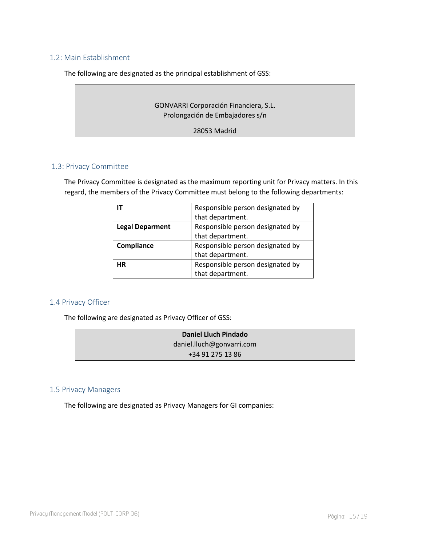#### <span id="page-14-0"></span>1.2: Main Establishment

The following are designated as the principal establishment of GSS:

#### GONVARRI Corporación Financiera, S.L. Prolongación de Embajadores s/n

28053 Madrid

#### <span id="page-14-1"></span>1.3: Privacy Committee

The Privacy Committee is designated as the maximum reporting unit for Privacy matters. In this regard, the members of the Privacy Committee must belong to the following departments:

|                        | Responsible person designated by<br>that department. |
|------------------------|------------------------------------------------------|
| <b>Legal Deparment</b> | Responsible person designated by                     |
|                        | that department.                                     |
| Compliance             | Responsible person designated by                     |
|                        | that department.                                     |
| <b>HR</b>              | Responsible person designated by                     |
|                        | that department.                                     |

#### <span id="page-14-2"></span>1.4 Privacy Officer

The following are designated as Privacy Officer of GSS:

| Daniel Lluch Pindado      |  |
|---------------------------|--|
| daniel.lluch@gonvarri.com |  |
| +34 91 275 13 86          |  |

#### <span id="page-14-3"></span>1.5 Privacy Managers

The following are designated as Privacy Managers for GI companies: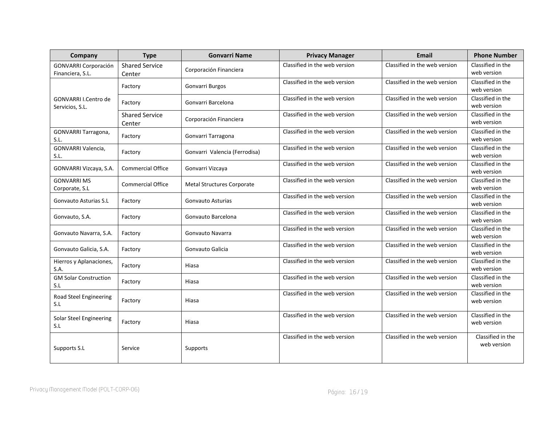| Company                                         | <b>Type</b>                     | <b>Gonvarri Name</b>              | <b>Privacy Manager</b>        | <b>Email</b>                  | <b>Phone Number</b>              |
|-------------------------------------------------|---------------------------------|-----------------------------------|-------------------------------|-------------------------------|----------------------------------|
| <b>GONVARRI Corporación</b><br>Financiera, S.L. | <b>Shared Service</b><br>Center | Corporación Financiera            | Classified in the web version | Classified in the web version | Classified in the<br>web version |
|                                                 | Factory                         | Gonvarri Burgos                   | Classified in the web version | Classified in the web version | Classified in the<br>web version |
| GONVARRI I.Centro de<br>Servicios, S.L.         | Factory                         | Gonvarri Barcelona                | Classified in the web version | Classified in the web version | Classified in the<br>web version |
|                                                 | <b>Shared Service</b><br>Center | Corporación Financiera            | Classified in the web version | Classified in the web version | Classified in the<br>web version |
| GONVARRI Tarragona,<br>S.L.                     | Factory                         | Gonvarri Tarragona                | Classified in the web version | Classified in the web version | Classified in the<br>web version |
| GONVARRI Valencia,<br>S.L.                      | Factory                         | Gonvarri Valencia (Ferrodisa)     | Classified in the web version | Classified in the web version | Classified in the<br>web version |
| GONVARRI Vizcaya, S.A.                          | <b>Commercial Office</b>        | Gonvarri Vizcaya                  | Classified in the web version | Classified in the web version | Classified in the<br>web version |
| <b>GONVARRIMS</b><br>Corporate, S.L             | <b>Commercial Office</b>        | <b>Metal Structures Corporate</b> | Classified in the web version | Classified in the web version | Classified in the<br>web version |
| Gonvauto Asturias S.L                           | Factory                         | Gonvauto Asturias                 | Classified in the web version | Classified in the web version | Classified in the<br>web version |
| Gonvauto, S.A.                                  | Factory                         | Gonvauto Barcelona                | Classified in the web version | Classified in the web version | Classified in the<br>web version |
| Gonvauto Navarra, S.A.                          | Factory                         | Gonvauto Navarra                  | Classified in the web version | Classified in the web version | Classified in the<br>web version |
| Gonvauto Galicia, S.A.                          | Factory                         | Gonvauto Galicia                  | Classified in the web version | Classified in the web version | Classified in the<br>web version |
| Hierros y Aplanaciones,<br>S.A.                 | Factory                         | Hiasa                             | Classified in the web version | Classified in the web version | Classified in the<br>web version |
| <b>GM Solar Construction</b><br>S.L             | Factory                         | Hiasa                             | Classified in the web version | Classified in the web version | Classified in the<br>web version |
| Road Steel Engineering<br>S.L                   | Factory                         | Hiasa                             | Classified in the web version | Classified in the web version | Classified in the<br>web version |
| Solar Steel Engineering<br>S.L                  | Factory                         | Hiasa                             | Classified in the web version | Classified in the web version | Classified in the<br>web version |
| Supports S.L                                    | Service                         | Supports                          | Classified in the web version | Classified in the web version | Classified in the<br>web version |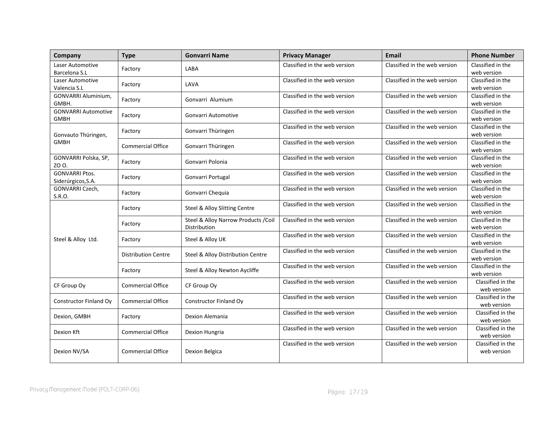| Company                                     | <b>Type</b>                | <b>Gonvarri Name</b>                                 | <b>Privacy Manager</b>        | <b>Email</b>                  | <b>Phone Number</b>              |
|---------------------------------------------|----------------------------|------------------------------------------------------|-------------------------------|-------------------------------|----------------------------------|
| Laser Automotive<br>Barcelona S.L           | Factory                    | LABA                                                 | Classified in the web version | Classified in the web version | Classified in the<br>web version |
| Laser Automotive<br>Valencia S.L            | Factory                    | LAVA                                                 | Classified in the web version | Classified in the web version | Classified in the<br>web version |
| GONVARRI Aluminium,<br>GMBH.                | Factory                    | Gonvarri Alumium                                     | Classified in the web version | Classified in the web version | Classified in the<br>web version |
| <b>GONVARRI Automotive</b><br><b>GMBH</b>   | Factory                    | Gonvarri Automotive                                  | Classified in the web version | Classified in the web version | Classified in the<br>web version |
| Gonvauto Thüringen,                         | Factory                    | Gonvarri Thüringen                                   | Classified in the web version | Classified in the web version | Classified in the<br>web version |
| <b>GMBH</b>                                 | <b>Commercial Office</b>   | Gonvarri Thüringen                                   | Classified in the web version | Classified in the web version | Classified in the<br>web version |
| GONVARRI Polska, SP,<br>ZO 0.               | Factory                    | Gonvarri Polonia                                     | Classified in the web version | Classified in the web version | Classified in the<br>web version |
| <b>GONVARRI Ptos.</b><br>Siderúrgicos, S.A. | Factory                    | Gonvarri Portugal                                    | Classified in the web version | Classified in the web version | Classified in the<br>web version |
| GONVARRI Czech,<br>S.R.O.                   | Factory                    | Gonvarri Chequia                                     | Classified in the web version | Classified in the web version | Classified in the<br>web version |
|                                             | Factory                    | Steel & Alloy Slitting Centre                        | Classified in the web version | Classified in the web version | Classified in the<br>web version |
|                                             | Factory                    | Steel & Alloy Narrow Products / Coil<br>Distribution | Classified in the web version | Classified in the web version | Classified in the<br>web version |
| Steel & Alloy Ltd.                          | Factory                    | Steel & Alloy UK                                     | Classified in the web version | Classified in the web version | Classified in the<br>web version |
|                                             | <b>Distribution Centre</b> | Steel & Alloy Distribution Centre                    | Classified in the web version | Classified in the web version | Classified in the<br>web version |
|                                             | Factory                    | Steel & Alloy Newton Aycliffe                        | Classified in the web version | Classified in the web version | Classified in the<br>web version |
| CF Group Oy                                 | <b>Commercial Office</b>   | CF Group Oy                                          | Classified in the web version | Classified in the web version | Classified in the<br>web version |
| Constructor Finland Oy                      | <b>Commercial Office</b>   | Constructor Finland Oy                               | Classified in the web version | Classified in the web version | Classified in the<br>web version |
| Dexion, GMBH                                | Factory                    | Dexion Alemania                                      | Classified in the web version | Classified in the web version | Classified in the<br>web version |
| Dexion Kft                                  | <b>Commercial Office</b>   | Dexion Hungria                                       | Classified in the web version | Classified in the web version | Classified in the<br>web version |
| Dexion NV/SA                                | <b>Commercial Office</b>   | Dexion Belgica                                       | Classified in the web version | Classified in the web version | Classified in the<br>web version |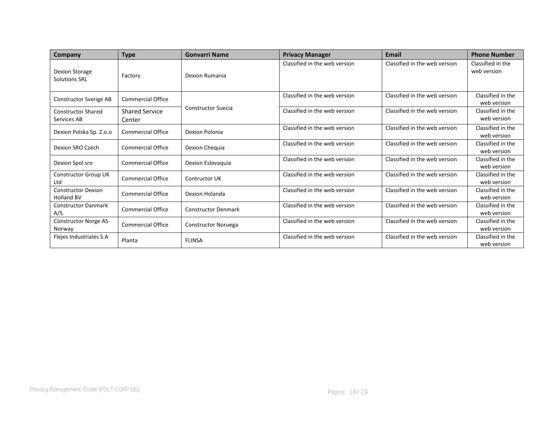| Company                                        | <b>Type</b>                     | <b>Gonvarri Name</b>       | <b>Privacy Manager</b>        | Email                         | <b>Phone Number</b>              |
|------------------------------------------------|---------------------------------|----------------------------|-------------------------------|-------------------------------|----------------------------------|
| Dexion Storage<br><b>Solutions SRL</b>         | Factory                         | Dexion Rumania             | Classified in the web version | Classified in the web version | Classified in the<br>web version |
| <b>Constructor Sverige AB</b>                  | <b>Commercial Office</b>        |                            | Classified in the web version | Classified in the web version | Classified in the<br>web version |
| <b>Constructor Shared</b><br>Services AB       | <b>Shared Service</b><br>Center | <b>Constructor Suecia</b>  | Classified in the web version | Classified in the web version | Classified in the<br>web version |
| Dexion Polska Sp. Z.o.o                        | <b>Commercial Office</b>        | Dexion Polonia             | Classified in the web version | Classified in the web version | Classified in the<br>web version |
| Dexion SRO Czech                               | Commercial Office               | Dexion Chequia             | Classified in the web version | Classified in the web version | Classified in the<br>web version |
| Dexion Spol sro                                | <b>Commercial Office</b>        | Dexion Eslovaquia          | Classified in the web version | Classified in the web version | Classified in the<br>web version |
| Constructor Group UK<br>Ltd                    | <b>Commercial Office</b>        | <b>Contructor UK</b>       | Classified in the web version | Classified in the web version | Classified in the<br>web version |
| <b>Constructor Dexion</b><br><b>Holland BV</b> | <b>Commercial Office</b>        | Dexion Holanda             | Classified in the web version | Classified in the web version | Classified in the<br>web version |
| <b>Constructor Danmark</b><br>A/S              | <b>Commercial Office</b>        | <b>Constructor Denmark</b> | Classified in the web version | Classified in the web version | Classified in the<br>web version |
| <b>Constructor Norge AS</b><br>Norway          | <b>Commercial Office</b>        | <b>Constructor Noruega</b> | Classified in the web version | Classified in the web version | Classified in the<br>web version |
| Flejes Industriales S.A                        | Planta                          | <b>FLINSA</b>              | Classified in the web version | Classified in the web version | Classified in the<br>web version |